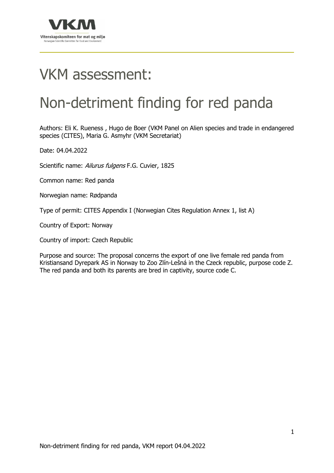

# VKM assessment:

## Non-detriment finding for red panda

Authors: Eli K. Rueness , Hugo de Boer (VKM Panel on Alien species and trade in endangered species (CITES), Maria G. Asmyhr (VKM Secretariat)

Date: 04.04.2022

Scientific name: Ailurus fulgens F.G. Cuvier, 1825

Common name: Red panda

Norwegian name: Rødpanda

Type of permit: CITES Appendix I (Norwegian Cites Regulation Annex 1, list A)

Country of Export: Norway

Country of import: Czech Republic

Purpose and source: The proposal concerns the export of one live female red panda from Kristiansand Dyrepark AS in Norway to Zoo Zlín‐Lešná in the Czeck republic, purpose code Z. The red panda and both its parents are bred in captivity, source code C.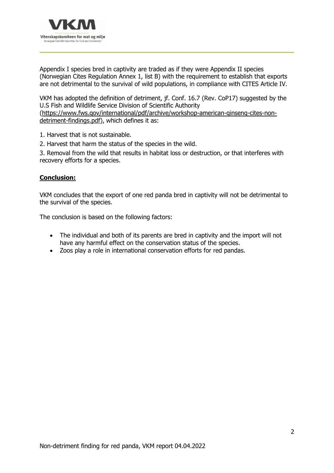

Appendix I species bred in captivity are traded as if they were Appendix II species (Norwegian Cites Regulation Annex 1, list B) with the requirement to establish that exports are not detrimental to the survival of wild populations, in compliance with CITES Article IV.

VKM has adopted the definition of detriment, jf. Conf. 16.7 (Rev. CoP17) suggested by the U.S Fish and Wildlife Service Division of Scientific Authority

(https://www.fws.gov/international/pdf/archive/workshop-american-ginseng-cites-nondetriment-findings.pdf), which defines it as:

1. Harvest that is not sustainable.

2. Harvest that harm the status of the species in the wild.

3. Removal from the wild that results in habitat loss or destruction, or that interferes with recovery efforts for a species.

## **Conclusion:**

VKM concludes that the export of one red panda bred in captivity will not be detrimental to the survival of the species.

The conclusion is based on the following factors:

- The individual and both of its parents are bred in captivity and the import will not have any harmful effect on the conservation status of the species.
- Zoos play a role in international conservation efforts for red pandas.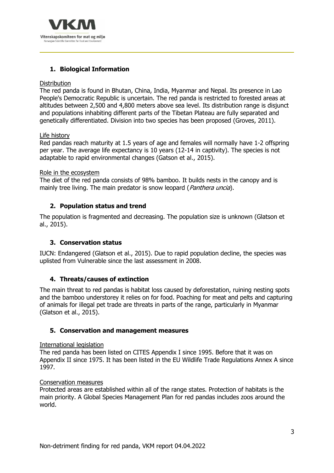

## **1. Biological Information**

## **Distribution**

The red panda is found in Bhutan, China, India, Myanmar and Nepal. Its presence in Lao People's Democratic Republic is uncertain. The red panda is restricted to forested areas at altitudes between 2,500 and 4,800 meters above sea level. Its distribution range is disjunct and populations inhabiting different parts of the Tibetan Plateau are fully separated and genetically differentiated. Division into two species has been proposed (Groves, 2011).

## Life history

Red pandas reach maturity at 1.5 years of age and females will normally have 1-2 offspring per year. The average life expectancy is 10 years (12-14 in captivity). The species is not adaptable to rapid environmental changes (Gatson et al., 2015).

## Role in the ecosystem

The diet of the red panda consists of 98% bamboo. It builds nests in the canopy and is mainly tree living. The main predator is snow leopard (*Panthera uncia*).

## **2. Population status and trend**

The population is fragmented and decreasing. The population size is unknown (Glatson et al., 2015).

## **3. Conservation status**

IUCN: Endangered (Glatson et al., 2015). Due to rapid population decline, the species was uplisted from Vulnerable since the last assessment in 2008.

## **4. Threats/causes of extinction**

The main threat to red pandas is habitat loss caused by deforestation, ruining nesting spots and the bamboo understorey it relies on for food. Poaching for meat and pelts and capturing of animals for illegal pet trade are threats in parts of the range, particularly in Myanmar (Glatson et al., 2015).

## **5. Conservation and management measures**

## International legislation

The red panda has been listed on CITES Appendix I since 1995. Before that it was on Appendix II since 1975. It has been listed in the EU Wildlife Trade Regulations Annex A since 1997.

## Conservation measures

Protected areas are established within all of the range states. Protection of habitats is the main priority. A Global Species Management Plan for red pandas includes zoos around the world.